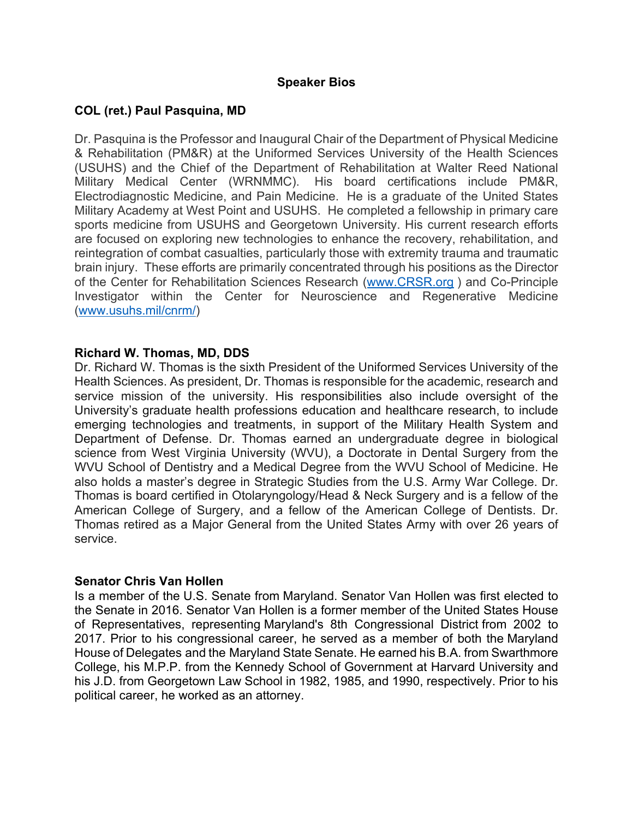## **Speaker Bios**

## **COL (ret.) Paul Pasquina, MD**

Dr. Pasquina is the Professor and Inaugural Chair of the Department of Physical Medicine & Rehabilitation (PM&R) at the Uniformed Services University of the Health Sciences (USUHS) and the Chief of the Department of Rehabilitation at Walter Reed National Military Medical Center (WRNMMC). His board certifications include PM&R, Electrodiagnostic Medicine, and Pain Medicine. He is a graduate of the United States Military Academy at West Point and USUHS. He completed a fellowship in primary care sports medicine from USUHS and Georgetown University. His current research efforts are focused on exploring new technologies to enhance the recovery, rehabilitation, and reintegration of combat casualties, particularly those with extremity trauma and traumatic brain injury. These efforts are primarily concentrated through his positions as the Director of the Center for Rehabilitation Sciences Research (www.CRSR.org ) and Co-Principle Investigator within the Center for Neuroscience and Regenerative Medicine (www.usuhs.mil/cnrm/)

## **Richard W. Thomas, MD, DDS**

Dr. Richard W. Thomas is the sixth President of the Uniformed Services University of the Health Sciences. As president, Dr. Thomas is responsible for the academic, research and service mission of the university. His responsibilities also include oversight of the University's graduate health professions education and healthcare research, to include emerging technologies and treatments, in support of the Military Health System and Department of Defense. Dr. Thomas earned an undergraduate degree in biological science from West Virginia University (WVU), a Doctorate in Dental Surgery from the WVU School of Dentistry and a Medical Degree from the WVU School of Medicine. He also holds a master's degree in Strategic Studies from the U.S. Army War College. Dr. Thomas is board certified in Otolaryngology/Head & Neck Surgery and is a fellow of the American College of Surgery, and a fellow of the American College of Dentists. Dr. Thomas retired as a Major General from the United States Army with over 26 years of service.

#### **Senator Chris Van Hollen**

Is a member of the U.S. Senate from Maryland. Senator Van Hollen was first elected to the Senate in 2016. Senator Van Hollen is a former member of the United States House of Representatives, representing Maryland's 8th Congressional District from 2002 to 2017. Prior to his congressional career, he served as a member of both the Maryland House of Delegates and the Maryland State Senate. He earned his B.A. from Swarthmore College, his M.P.P. from the Kennedy School of Government at Harvard University and his J.D. from Georgetown Law School in 1982, 1985, and 1990, respectively. Prior to his political career, he worked as an attorney.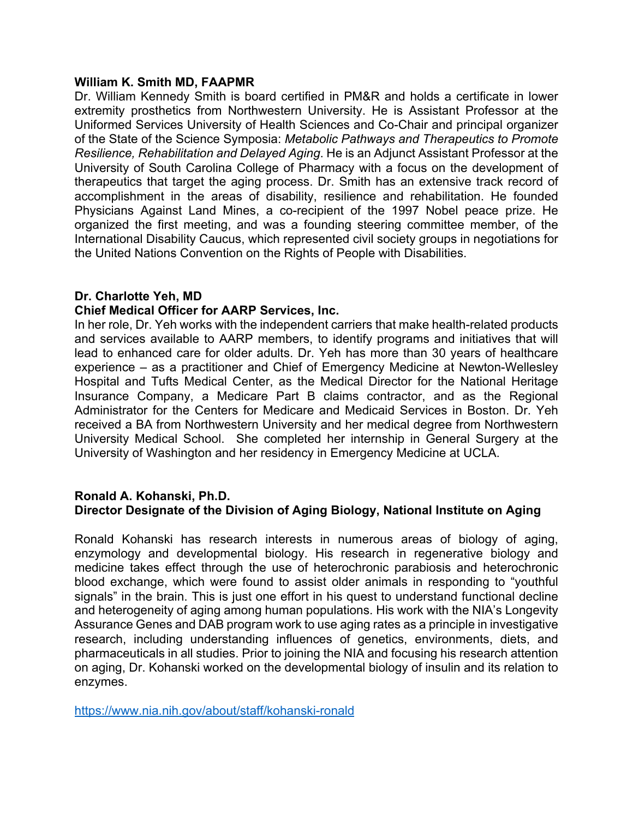#### **William K. Smith MD, FAAPMR**

Dr. William Kennedy Smith is board certified in PM&R and holds a certificate in lower extremity prosthetics from Northwestern University. He is Assistant Professor at the Uniformed Services University of Health Sciences and Co-Chair and principal organizer of the State of the Science Symposia: *Metabolic Pathways and Therapeutics to Promote Resilience, Rehabilitation and Delayed Aging*. He is an Adjunct Assistant Professor at the University of South Carolina College of Pharmacy with a focus on the development of therapeutics that target the aging process. Dr. Smith has an extensive track record of accomplishment in the areas of disability, resilience and rehabilitation. He founded Physicians Against Land Mines, a co-recipient of the 1997 Nobel peace prize. He organized the first meeting, and was a founding steering committee member, of the International Disability Caucus, which represented civil society groups in negotiations for the United Nations Convention on the Rights of People with Disabilities.

## **Dr. Charlotte Yeh, MD**

## **Chief Medical Officer for AARP Services, Inc.**

In her role, Dr. Yeh works with the independent carriers that make health-related products and services available to AARP members, to identify programs and initiatives that will lead to enhanced care for older adults. Dr. Yeh has more than 30 years of healthcare experience – as a practitioner and Chief of Emergency Medicine at Newton-Wellesley Hospital and Tufts Medical Center, as the Medical Director for the National Heritage Insurance Company, a Medicare Part B claims contractor, and as the Regional Administrator for the Centers for Medicare and Medicaid Services in Boston. Dr. Yeh received a BA from Northwestern University and her medical degree from Northwestern University Medical School. She completed her internship in General Surgery at the University of Washington and her residency in Emergency Medicine at UCLA.

## **Ronald A. Kohanski, Ph.D. Director Designate of the Division of Aging Biology, National Institute on Aging**

Ronald Kohanski has research interests in numerous areas of biology of aging, enzymology and developmental biology. His research in regenerative biology and medicine takes effect through the use of heterochronic parabiosis and heterochronic blood exchange, which were found to assist older animals in responding to "youthful signals" in the brain. This is just one effort in his quest to understand functional decline and heterogeneity of aging among human populations. His work with the NIA's Longevity Assurance Genes and DAB program work to use aging rates as a principle in investigative research, including understanding influences of genetics, environments, diets, and pharmaceuticals in all studies. Prior to joining the NIA and focusing his research attention on aging, Dr. Kohanski worked on the developmental biology of insulin and its relation to enzymes.

https://www.nia.nih.gov/about/staff/kohanski-ronald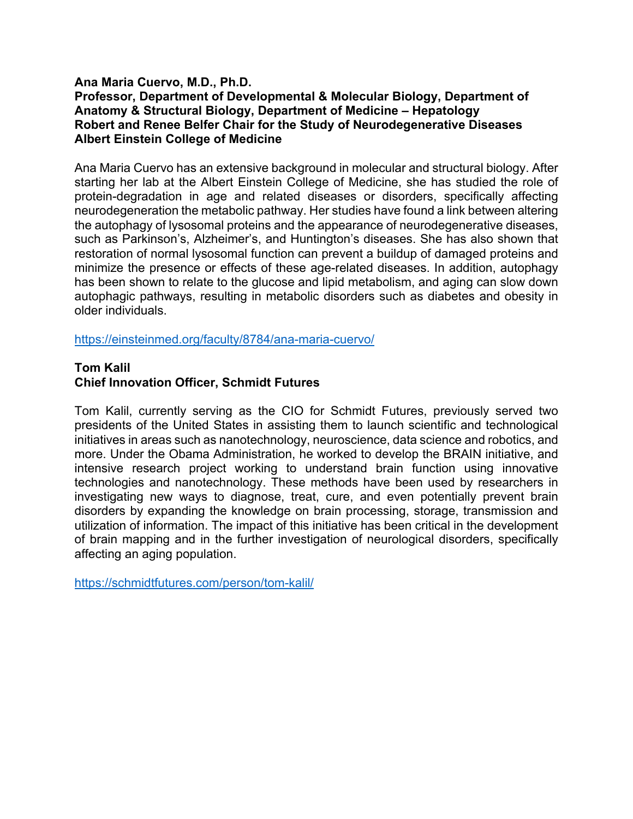# **Ana Maria Cuervo, M.D., Ph.D.**

## **Professor, Department of Developmental & Molecular Biology, Department of Anatomy & Structural Biology, Department of Medicine – Hepatology Robert and Renee Belfer Chair for the Study of Neurodegenerative Diseases Albert Einstein College of Medicine**

Ana Maria Cuervo has an extensive background in molecular and structural biology. After starting her lab at the Albert Einstein College of Medicine, she has studied the role of protein-degradation in age and related diseases or disorders, specifically affecting neurodegeneration the metabolic pathway. Her studies have found a link between altering the autophagy of lysosomal proteins and the appearance of neurodegenerative diseases, such as Parkinson's, Alzheimer's, and Huntington's diseases. She has also shown that restoration of normal lysosomal function can prevent a buildup of damaged proteins and minimize the presence or effects of these age-related diseases. In addition, autophagy has been shown to relate to the glucose and lipid metabolism, and aging can slow down autophagic pathways, resulting in metabolic disorders such as diabetes and obesity in older individuals.

https://einsteinmed.org/faculty/8784/ana-maria-cuervo/

#### **Tom Kalil**

## **Chief Innovation Officer, Schmidt Futures**

Tom Kalil, currently serving as the CIO for Schmidt Futures, previously served two presidents of the United States in assisting them to launch scientific and technological initiatives in areas such as nanotechnology, neuroscience, data science and robotics, and more. Under the Obama Administration, he worked to develop the BRAIN initiative, and intensive research project working to understand brain function using innovative technologies and nanotechnology. These methods have been used by researchers in investigating new ways to diagnose, treat, cure, and even potentially prevent brain disorders by expanding the knowledge on brain processing, storage, transmission and utilization of information. The impact of this initiative has been critical in the development of brain mapping and in the further investigation of neurological disorders, specifically affecting an aging population.

https://schmidtfutures.com/person/tom-kalil/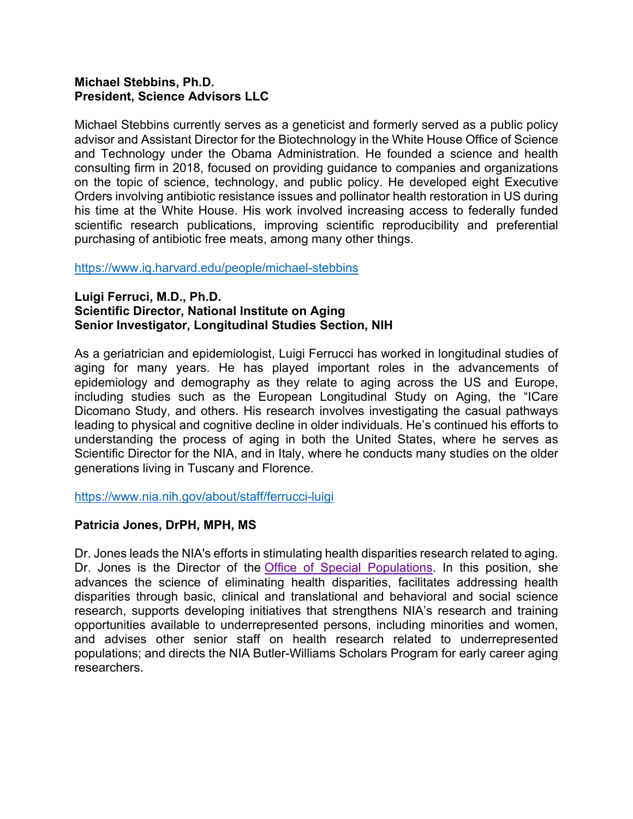## **Michael Stebbins, Ph.D. President, Science Advisors LLC**

Michael Stebbins currently serves as a geneticist and formerly served as a public policy advisor and Assistant Director for the Biotechnology in the White House Office of Science and Technology under the Obama Administration. He founded a science and health consulting firm in 2018, focused on providing guidance to companies and organizations on the topic of science, technology, and public policy. He developed eight Executive Orders involving antibiotic resistance issues and pollinator health restoration in US during his time at the White House. His work involved increasing access to federally funded scientific research publications, improving scientific reproducibility and preferential purchasing of antibiotic free meats, among many other things.

## https://www.iq.harvard.edu/people/michael-stebbins

## **Luigi Ferruci, M.D., Ph.D. Scientific Director, National Institute on Aging Senior Investigator, Longitudinal Studies Section, NIH**

As a geriatrician and epidemiologist, Luigi Ferrucci has worked in longitudinal studies of aging for many years. He has played important roles in the advancements of epidemiology and demography as they relate to aging across the US and Europe, including studies such as the European Longitudinal Study on Aging, the "ICare Dicomano Study, and others. His research involves investigating the casual pathways leading to physical and cognitive decline in older individuals. He's continued his efforts to understanding the process of aging in both the United States, where he serves as Scientific Director for the NIA, and in Italy, where he conducts many studies on the older generations living in Tuscany and Florence.

https://www.nia.nih.gov/about/staff/ferrucci-luigi

## **Patricia Jones, DrPH, MPH, MS**

Dr. Jones leads the NIA's efforts in stimulating health disparities research related to aging. Dr. Jones is the Director of the **Office of Special Populations**. In this position, she advances the science of eliminating health disparities, facilitates addressing health disparities through basic, clinical and translational and behavioral and social science research, supports developing initiatives that strengthens NIA's research and training opportunities available to underrepresented persons, including minorities and women, and advises other senior staff on health research related to underrepresented populations; and directs the NIA Butler-Williams Scholars Program for early career aging researchers.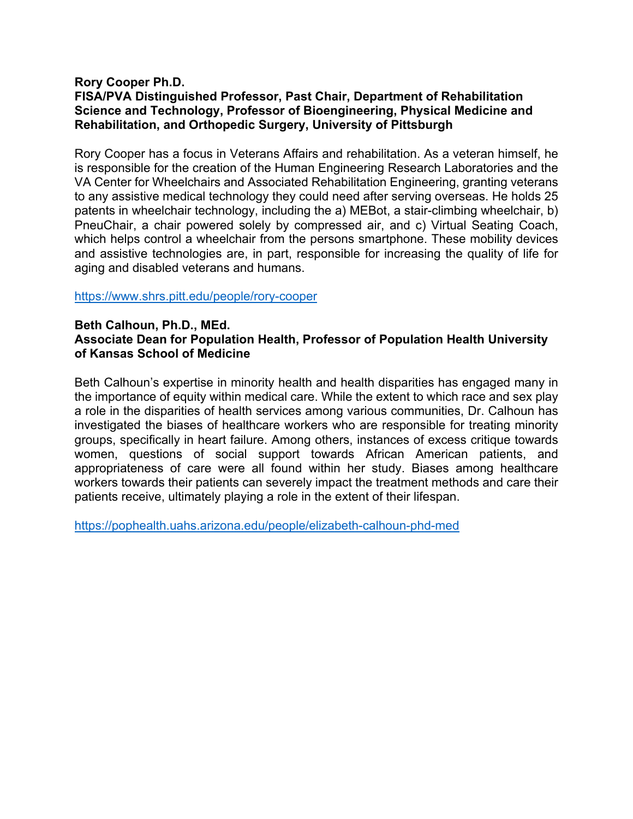## **Rory Cooper Ph.D. FISA/PVA Distinguished Professor, Past Chair, Department of Rehabilitation Science and Technology, Professor of Bioengineering, Physical Medicine and Rehabilitation, and Orthopedic Surgery, University of Pittsburgh**

Rory Cooper has a focus in Veterans Affairs and rehabilitation. As a veteran himself, he is responsible for the creation of the Human Engineering Research Laboratories and the VA Center for Wheelchairs and Associated Rehabilitation Engineering, granting veterans to any assistive medical technology they could need after serving overseas. He holds 25 patents in wheelchair technology, including the a) MEBot, a stair-climbing wheelchair, b) PneuChair, a chair powered solely by compressed air, and c) Virtual Seating Coach, which helps control a wheelchair from the persons smartphone. These mobility devices and assistive technologies are, in part, responsible for increasing the quality of life for aging and disabled veterans and humans.

#### https://www.shrs.pitt.edu/people/rory-cooper

#### **Beth Calhoun, Ph.D., MEd. Associate Dean for Population Health, Professor of Population Health University of Kansas School of Medicine**

Beth Calhoun's expertise in minority health and health disparities has engaged many in the importance of equity within medical care. While the extent to which race and sex play a role in the disparities of health services among various communities, Dr. Calhoun has investigated the biases of healthcare workers who are responsible for treating minority groups, specifically in heart failure. Among others, instances of excess critique towards women, questions of social support towards African American patients, and appropriateness of care were all found within her study. Biases among healthcare workers towards their patients can severely impact the treatment methods and care their patients receive, ultimately playing a role in the extent of their lifespan.

https://pophealth.uahs.arizona.edu/people/elizabeth-calhoun-phd-med